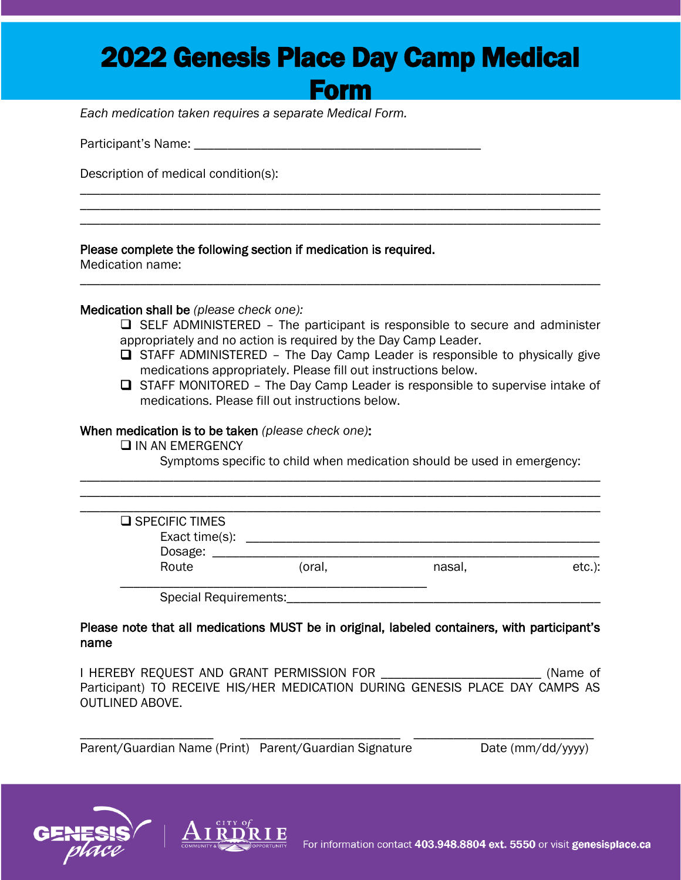## 2022 Genesis Place Day Camp Medical

Form

\_\_\_\_\_\_\_\_\_\_\_\_\_\_\_\_\_\_\_\_\_\_\_\_\_\_\_\_\_\_\_\_\_\_\_\_\_\_\_\_\_\_\_\_\_\_\_\_\_\_\_\_\_\_\_\_\_\_\_\_\_\_\_\_\_\_\_\_\_\_\_\_\_\_\_\_\_\_ \_\_\_\_\_\_\_\_\_\_\_\_\_\_\_\_\_\_\_\_\_\_\_\_\_\_\_\_\_\_\_\_\_\_\_\_\_\_\_\_\_\_\_\_\_\_\_\_\_\_\_\_\_\_\_\_\_\_\_\_\_\_\_\_\_\_\_\_\_\_\_\_\_\_\_\_\_\_ \_\_\_\_\_\_\_\_\_\_\_\_\_\_\_\_\_\_\_\_\_\_\_\_\_\_\_\_\_\_\_\_\_\_\_\_\_\_\_\_\_\_\_\_\_\_\_\_\_\_\_\_\_\_\_\_\_\_\_\_\_\_\_\_\_\_\_\_\_\_\_\_\_\_\_\_\_\_

\_\_\_\_\_\_\_\_\_\_\_\_\_\_\_\_\_\_\_\_\_\_\_\_\_\_\_\_\_\_\_\_\_\_\_\_\_\_\_\_\_\_\_\_\_\_\_\_\_\_\_\_\_\_\_\_\_\_\_\_\_\_\_\_\_\_\_\_\_\_\_\_\_\_\_\_\_\_

*Each medication taken requires a separate Medical Form.*

Participant's Name: \_\_\_\_\_\_\_\_\_\_\_\_\_\_\_\_\_\_\_\_\_\_\_\_\_\_\_\_\_\_\_\_\_\_\_\_\_\_\_\_\_\_\_

Description of medical condition(s):

Please complete the following section if medication is required.

Medication name:

Medication shall be *(please check one):*

- ❑ SELF ADMINISTERED The participant is responsible to secure and administer appropriately and no action is required by the Day Camp Leader.
- ❑ STAFF ADMINISTERED The Day Camp Leader is responsible to physically give medications appropriately. Please fill out instructions below.
- ❑ STAFF MONITORED The Day Camp Leader is responsible to supervise intake of medications. Please fill out instructions below.

## When medication is to be taken *(please check one)*:

❑ IN AN EMERGENCY

Symptoms specific to child when medication should be used in emergency:

| $\square$ SPECIFIC TIMES |        |        |           |
|--------------------------|--------|--------|-----------|
| Exact time(s):           |        |        |           |
| Dosage:                  |        |        |           |
| Route                    | (oral, | nasal, | $etc.$ ): |

\_\_\_\_\_\_\_\_\_\_\_\_\_\_\_\_\_\_\_\_\_\_\_\_\_\_\_\_\_\_\_\_\_\_\_\_\_\_\_\_\_\_\_\_\_\_\_\_\_\_\_\_\_\_\_\_\_\_\_\_\_\_\_\_\_\_\_\_\_\_\_\_\_\_\_\_\_\_ \_\_\_\_\_\_\_\_\_\_\_\_\_\_\_\_\_\_\_\_\_\_\_\_\_\_\_\_\_\_\_\_\_\_\_\_\_\_\_\_\_\_\_\_\_\_\_\_\_\_\_\_\_\_\_\_\_\_\_\_\_\_\_\_\_\_\_\_\_\_\_\_\_\_\_\_\_\_

Please note that all medications MUST be in original, labeled containers, with participant's name

I HEREBY REQUEST AND GRANT PERMISSION FOR \_\_\_\_\_\_\_\_\_\_\_\_\_\_\_\_\_\_\_\_\_\_\_\_ (Name of Participant) TO RECEIVE HIS/HER MEDICATION DURING GENESIS PLACE DAY CAMPS AS OUTLINED ABOVE.

\_\_\_\_\_\_\_\_\_\_\_\_\_\_\_\_\_\_\_\_ \_\_\_\_\_\_\_\_\_\_\_\_\_\_\_\_\_\_\_\_\_\_\_\_ \_\_\_\_\_\_\_\_\_\_\_\_\_\_\_\_\_\_\_\_\_\_\_\_\_\_\_

Parent/Guardian Name (Print) Parent/Guardian Signature Date (mm/dd/yyyy)



 $\overline{a}$